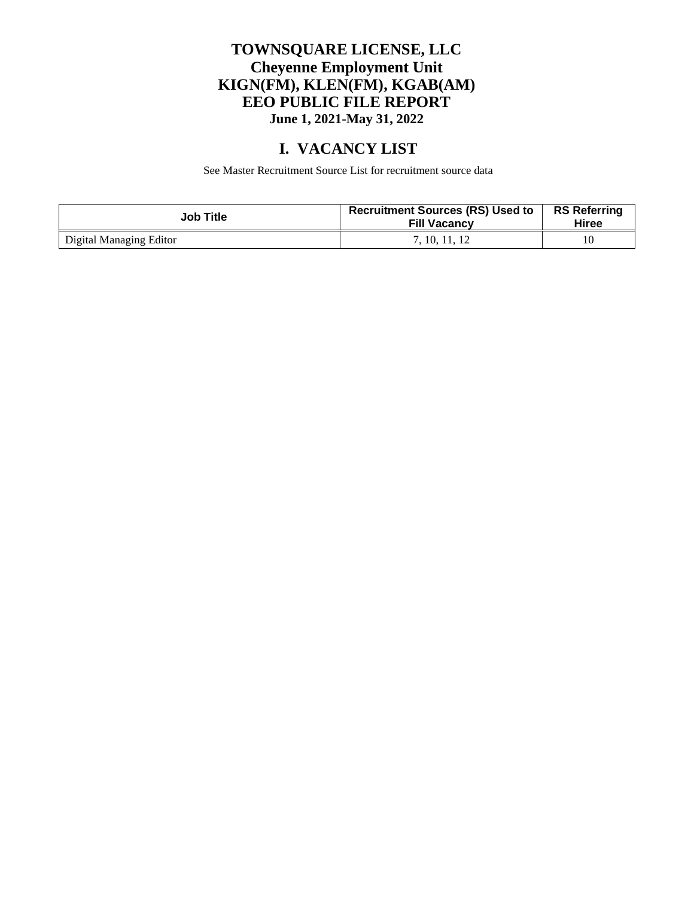#### **TOWNSQUARE LICENSE, LLC Cheyenne Employment Unit KIGN(FM), KLEN(FM), KGAB(AM) EEO PUBLIC FILE REPORT June 1, 2021-May 31, 2022**

### **I. VACANCY LIST**

See Master Recruitment Source List for recruitment source data

| <b>Job Title</b>        | <b>Recruitment Sources (RS) Used to</b><br><b>Fill Vacancy</b> | <b>RS Referring</b><br>Hiree |
|-------------------------|----------------------------------------------------------------|------------------------------|
| Digital Managing Editor | 7. 10. 11. 12                                                  |                              |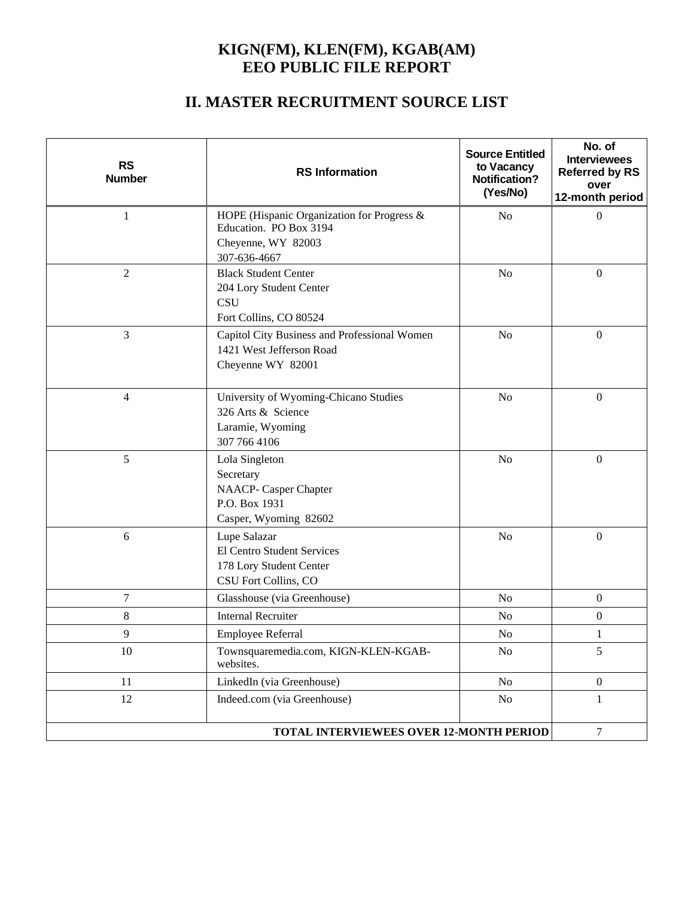#### **KIGN(FM), KLEN(FM), KGAB(AM) EEO PUBLIC FILE REPORT**

## **II. MASTER RECRUITMENT SOURCE LIST**

| <b>RS</b><br><b>Number</b>                                                                                    | <b>RS</b> Information                                                                                      | <b>Source Entitled</b><br>to Vacancy<br><b>Notification?</b><br>(Yes/No) | No. of<br><b>Interviewees</b><br><b>Referred by RS</b><br>over<br>12-month period |
|---------------------------------------------------------------------------------------------------------------|------------------------------------------------------------------------------------------------------------|--------------------------------------------------------------------------|-----------------------------------------------------------------------------------|
| 1                                                                                                             | HOPE (Hispanic Organization for Progress &<br>Education. PO Box 3194<br>Cheyenne, WY 82003<br>307-636-4667 | N <sub>o</sub>                                                           | $\mathbf{0}$                                                                      |
| $\overline{2}$                                                                                                | <b>Black Student Center</b><br>204 Lory Student Center<br><b>CSU</b><br>Fort Collins, CO 80524             | N <sub>o</sub>                                                           | $\mathbf{0}$                                                                      |
| 3                                                                                                             | Capitol City Business and Professional Women<br>1421 West Jefferson Road<br>Cheyenne WY 82001              | N <sub>o</sub>                                                           | $\boldsymbol{0}$                                                                  |
| $\overline{4}$                                                                                                | University of Wyoming-Chicano Studies<br>326 Arts & Science<br>Laramie, Wyoming<br>307 766 4106            | N <sub>o</sub>                                                           | $\boldsymbol{0}$                                                                  |
| 5                                                                                                             | Lola Singleton<br>Secretary<br>NAACP- Casper Chapter<br>P.O. Box 1931<br>Casper, Wyoming 82602             | N <sub>o</sub>                                                           | $\boldsymbol{0}$                                                                  |
| $6\,$<br>Lupe Salazar<br><b>El Centro Student Services</b><br>178 Lory Student Center<br>CSU Fort Collins, CO |                                                                                                            | N <sub>o</sub>                                                           | $\mathbf{0}$                                                                      |
| $\tau$                                                                                                        | Glasshouse (via Greenhouse)                                                                                | N <sub>o</sub>                                                           | $\boldsymbol{0}$                                                                  |
| 8                                                                                                             | <b>Internal Recruiter</b>                                                                                  | N <sub>o</sub>                                                           | $\boldsymbol{0}$                                                                  |
| 9                                                                                                             | Employee Referral                                                                                          | No                                                                       | 1                                                                                 |
| 10                                                                                                            | Townsquaremedia.com, KIGN-KLEN-KGAB-<br>websites.                                                          | No                                                                       | 5                                                                                 |
| 11                                                                                                            | LinkedIn (via Greenhouse)                                                                                  | N <sub>o</sub>                                                           | $\boldsymbol{0}$                                                                  |
| 12                                                                                                            | Indeed.com (via Greenhouse)                                                                                | No                                                                       | 1                                                                                 |
| <b>TOTAL INTERVIEWEES OVER 12-MONTH PERIOD</b><br>$\overline{7}$                                              |                                                                                                            |                                                                          |                                                                                   |